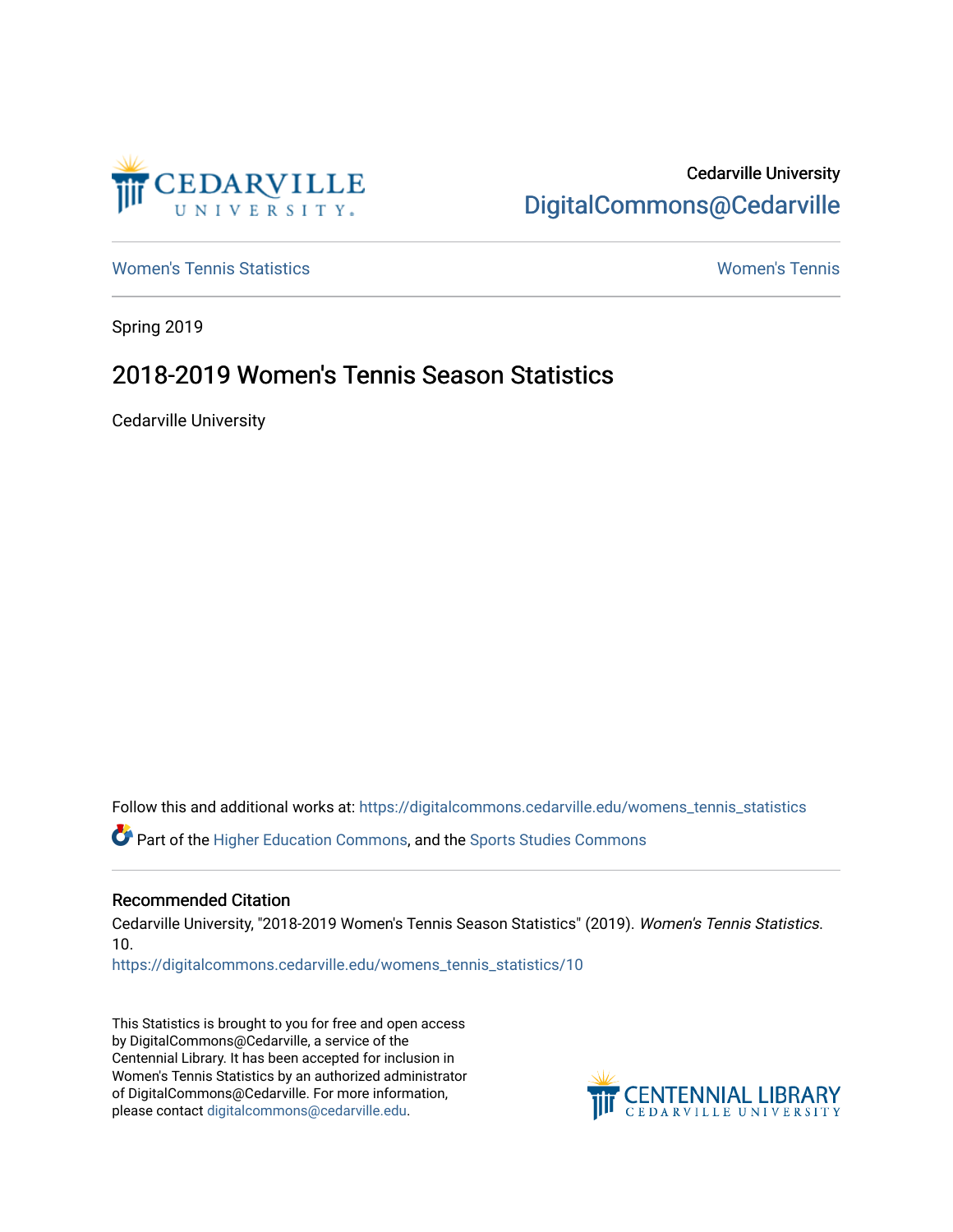

## Cedarville University [DigitalCommons@Cedarville](https://digitalcommons.cedarville.edu/)

[Women's Tennis Statistics](https://digitalcommons.cedarville.edu/womens_tennis_statistics) [Women's Tennis](https://digitalcommons.cedarville.edu/womens_tennis) 

Spring 2019

## 2018-2019 Women's Tennis Season Statistics

Cedarville University

Follow this and additional works at: [https://digitalcommons.cedarville.edu/womens\\_tennis\\_statistics](https://digitalcommons.cedarville.edu/womens_tennis_statistics?utm_source=digitalcommons.cedarville.edu%2Fwomens_tennis_statistics%2F10&utm_medium=PDF&utm_campaign=PDFCoverPages) 

Part of the [Higher Education Commons,](http://network.bepress.com/hgg/discipline/1245?utm_source=digitalcommons.cedarville.edu%2Fwomens_tennis_statistics%2F10&utm_medium=PDF&utm_campaign=PDFCoverPages) and the [Sports Studies Commons](http://network.bepress.com/hgg/discipline/1198?utm_source=digitalcommons.cedarville.edu%2Fwomens_tennis_statistics%2F10&utm_medium=PDF&utm_campaign=PDFCoverPages) 

## Recommended Citation

Cedarville University, "2018-2019 Women's Tennis Season Statistics" (2019). Women's Tennis Statistics. 10.

[https://digitalcommons.cedarville.edu/womens\\_tennis\\_statistics/10](https://digitalcommons.cedarville.edu/womens_tennis_statistics/10?utm_source=digitalcommons.cedarville.edu%2Fwomens_tennis_statistics%2F10&utm_medium=PDF&utm_campaign=PDFCoverPages) 

This Statistics is brought to you for free and open access by DigitalCommons@Cedarville, a service of the Centennial Library. It has been accepted for inclusion in Women's Tennis Statistics by an authorized administrator of DigitalCommons@Cedarville. For more information, please contact [digitalcommons@cedarville.edu](mailto:digitalcommons@cedarville.edu).